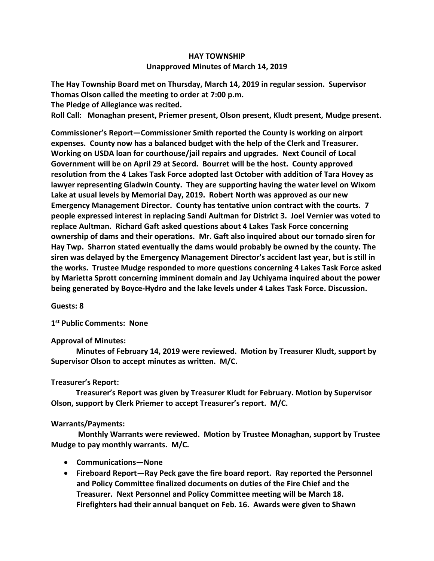## **HAY TOWNSHIP Unapproved Minutes of March 14, 2019**

**The Hay Township Board met on Thursday, March 14, 2019 in regular session. Supervisor Thomas Olson called the meeting to order at 7:00 p.m.** 

**The Pledge of Allegiance was recited.** 

**Roll Call: Monaghan present, Priemer present, Olson present, Kludt present, Mudge present.**

**Commissioner's Report—Commissioner Smith reported the County is working on airport expenses. County now has a balanced budget with the help of the Clerk and Treasurer. Working on USDA loan for courthouse/jail repairs and upgrades. Next Council of Local Government will be on April 29 at Secord. Bourret will be the host. County approved resolution from the 4 Lakes Task Force adopted last October with addition of Tara Hovey as lawyer representing Gladwin County. They are supporting having the water level on Wixom Lake at usual levels by Memorial Day, 2019. Robert North was approved as our new Emergency Management Director. County has tentative union contract with the courts. 7 people expressed interest in replacing Sandi Aultman for District 3. Joel Vernier was voted to replace Aultman. Richard Gaft asked questions about 4 Lakes Task Force concerning ownership of dams and their operations. Mr. Gaft also inquired about our tornado siren for Hay Twp. Sharron stated eventually the dams would probably be owned by the county. The siren was delayed by the Emergency Management Director's accident last year, but is still in the works. Trustee Mudge responded to more questions concerning 4 Lakes Task Force asked by Marietta Sprott concerning imminent domain and Jay Uchiyama inquired about the power being generated by Boyce-Hydro and the lake levels under 4 Lakes Task Force. Discussion.**

**Guests: 8**

**1 st Public Comments: None**

## **Approval of Minutes:**

 **Minutes of February 14, 2019 were reviewed. Motion by Treasurer Kludt, support by Supervisor Olson to accept minutes as written. M/C.**

## **Treasurer's Report:**

 **Treasurer's Report was given by Treasurer Kludt for February. Motion by Supervisor Olson, support by Clerk Priemer to accept Treasurer's report. M/C.**

## **Warrants/Payments:**

 **Monthly Warrants were reviewed. Motion by Trustee Monaghan, support by Trustee Mudge to pay monthly warrants. M/C.** 

- **Communications—None**
- **Fireboard Report—Ray Peck gave the fire board report. Ray reported the Personnel and Policy Committee finalized documents on duties of the Fire Chief and the Treasurer. Next Personnel and Policy Committee meeting will be March 18. Firefighters had their annual banquet on Feb. 16. Awards were given to Shawn**